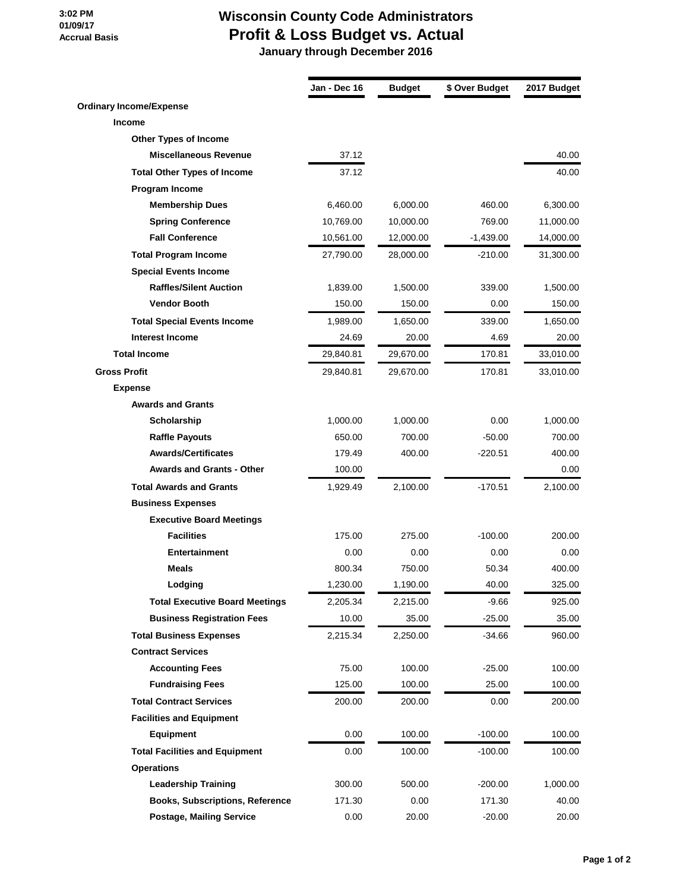## **Accrual Basis Wisconsin County Code Administrators Profit & Loss Budget vs. Actual**

 **3:02 PM 01/09/17**

 **January through December 2016**

|                                        | Jan - Dec 16 | <b>Budget</b> | \$ Over Budget | 2017 Budget |
|----------------------------------------|--------------|---------------|----------------|-------------|
| <b>Ordinary Income/Expense</b>         |              |               |                |             |
| <b>Income</b>                          |              |               |                |             |
| Other Types of Income                  |              |               |                |             |
| <b>Miscellaneous Revenue</b>           | 37.12        |               |                | 40.00       |
| <b>Total Other Types of Income</b>     | 37.12        |               |                | 40.00       |
| Program Income                         |              |               |                |             |
| <b>Membership Dues</b>                 | 6,460.00     | 6,000.00      | 460.00         | 6,300.00    |
| <b>Spring Conference</b>               | 10,769.00    | 10,000.00     | 769.00         | 11,000.00   |
| <b>Fall Conference</b>                 | 10,561.00    | 12,000.00     | $-1,439.00$    | 14,000.00   |
| <b>Total Program Income</b>            | 27,790.00    | 28,000.00     | -210.00        | 31,300.00   |
| <b>Special Events Income</b>           |              |               |                |             |
| <b>Raffles/Silent Auction</b>          | 1,839.00     | 1,500.00      | 339.00         | 1,500.00    |
| <b>Vendor Booth</b>                    | 150.00       | 150.00        | 0.00           | 150.00      |
| <b>Total Special Events Income</b>     | 1,989.00     | 1,650.00      | 339.00         | 1,650.00    |
| <b>Interest Income</b>                 | 24.69        | 20.00         | 4.69           | 20.00       |
| <b>Total Income</b>                    | 29,840.81    | 29,670.00     | 170.81         | 33,010.00   |
| <b>Gross Profit</b>                    | 29,840.81    | 29,670.00     | 170.81         | 33,010.00   |
| <b>Expense</b>                         |              |               |                |             |
| <b>Awards and Grants</b>               |              |               |                |             |
| Scholarship                            | 1,000.00     | 1,000.00      | 0.00           | 1,000.00    |
| <b>Raffle Payouts</b>                  | 650.00       | 700.00        | $-50.00$       | 700.00      |
| <b>Awards/Certificates</b>             | 179.49       | 400.00        | $-220.51$      | 400.00      |
| <b>Awards and Grants - Other</b>       | 100.00       |               |                | 0.00        |
| <b>Total Awards and Grants</b>         | 1,929.49     | 2,100.00      | $-170.51$      | 2,100.00    |
| <b>Business Expenses</b>               |              |               |                |             |
| <b>Executive Board Meetings</b>        |              |               |                |             |
| <b>Facilities</b>                      | 175.00       | 275.00        | $-100.00$      | 200.00      |
| Entertainment                          | 0.00         | 0.00          | 0.00           | 0.00        |
| <b>Meals</b>                           | 800.34       | 750.00        | 50.34          | 400.00      |
| Lodging                                | 1,230.00     | 1,190.00      | 40.00          | 325.00      |
| <b>Total Executive Board Meetings</b>  | 2,205.34     | 2,215.00      | $-9.66$        | 925.00      |
| <b>Business Registration Fees</b>      | 10.00        | 35.00         | $-25.00$       | 35.00       |
| <b>Total Business Expenses</b>         | 2,215.34     | 2,250.00      | $-34.66$       | 960.00      |
| <b>Contract Services</b>               |              |               |                |             |
| <b>Accounting Fees</b>                 | 75.00        | 100.00        | $-25.00$       | 100.00      |
| <b>Fundraising Fees</b>                | 125.00       | 100.00        | 25.00          | 100.00      |
| <b>Total Contract Services</b>         | 200.00       | 200.00        | 0.00           | 200.00      |
| <b>Facilities and Equipment</b>        |              |               |                |             |
| <b>Equipment</b>                       | 0.00         | 100.00        | $-100.00$      | 100.00      |
| <b>Total Facilities and Equipment</b>  | 0.00         | 100.00        | $-100.00$      | 100.00      |
| <b>Operations</b>                      |              |               |                |             |
| <b>Leadership Training</b>             | 300.00       | 500.00        | $-200.00$      | 1,000.00    |
| <b>Books, Subscriptions, Reference</b> | 171.30       | 0.00          | 171.30         | 40.00       |
| <b>Postage, Mailing Service</b>        | 0.00         | 20.00         | $-20.00$       | 20.00       |